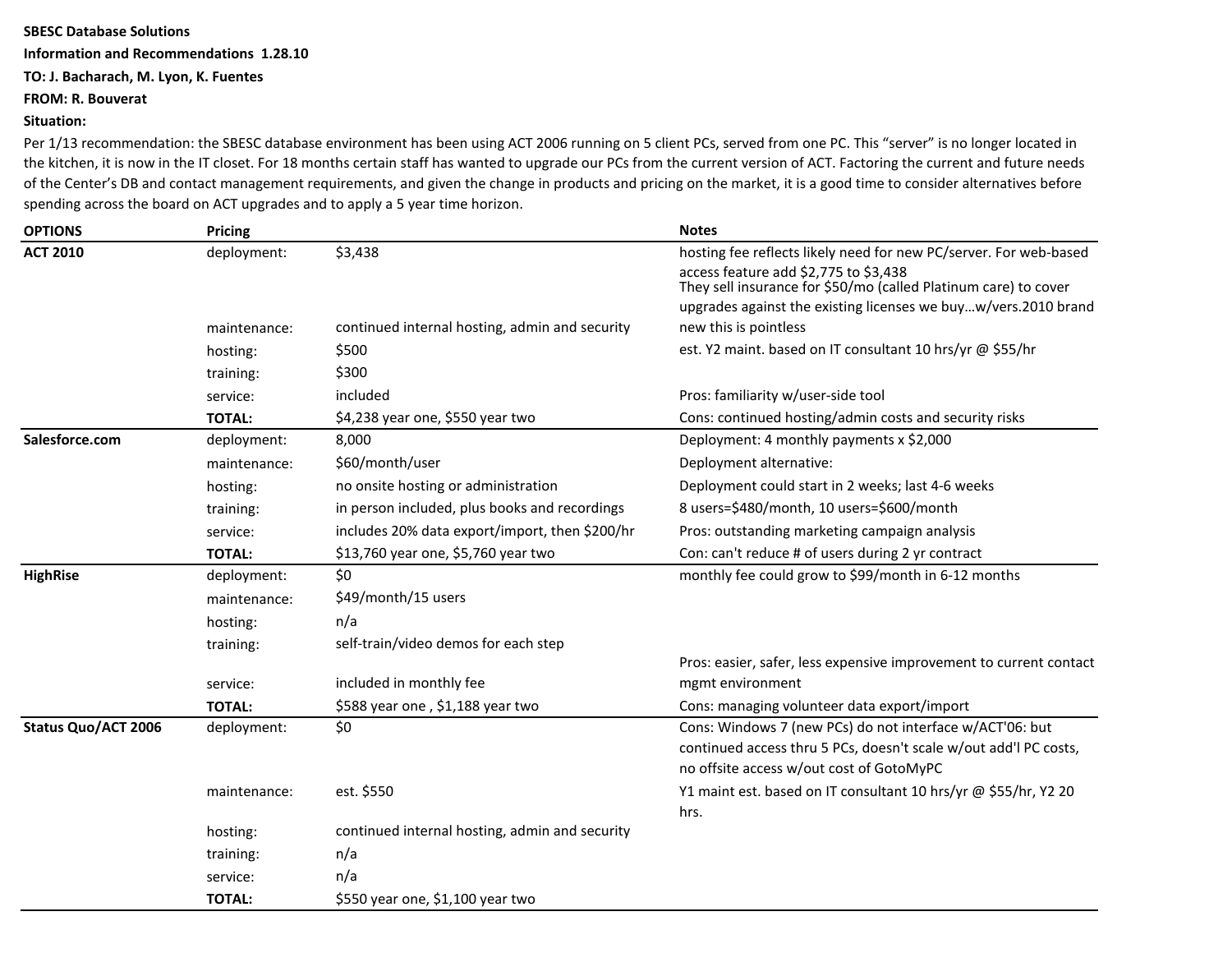## **SBESC Database Solutions**

**Information and Recommendations 1.28.10**

## **TO: J. Bacharach, M. Lyon, K. Fuentes**

## **FROM: R. Bouverat**

## **Situation:**

Per 1/13 recommendation: the SBESC database environment has been using ACT 2006 running on 5 client PCs, served from one PC. This "server" is no longer located in the kitchen, it is now in the IT closet. For 18 months certain staff has wanted to upgrade our PCs from the current version of ACT. Factoring the current and future needs of the Center's DB and contact management requirements, and given the change in products and pricing on the market, it is a good time to consider alternatives before spending across the board on ACT upgrades and to apply a 5 year time horizon.

| <b>OPTIONS</b>      | <b>Pricing</b> |                                                | <b>Notes</b>                                                                                                                                                             |
|---------------------|----------------|------------------------------------------------|--------------------------------------------------------------------------------------------------------------------------------------------------------------------------|
| <b>ACT 2010</b>     | deployment:    | \$3,438                                        | hosting fee reflects likely need for new PC/server. For web-based                                                                                                        |
|                     |                |                                                | access feature add \$2,775 to \$3,438<br>They sell insurance for \$50/mo (called Platinum care) to cover                                                                 |
|                     |                |                                                | upgrades against the existing licenses we buyw/vers.2010 brand                                                                                                           |
|                     | maintenance:   | continued internal hosting, admin and security | new this is pointless                                                                                                                                                    |
|                     | hosting:       | \$500                                          | est. Y2 maint. based on IT consultant 10 hrs/yr @ \$55/hr                                                                                                                |
|                     | training:      | \$300                                          |                                                                                                                                                                          |
|                     | service:       | included                                       | Pros: familiarity w/user-side tool                                                                                                                                       |
|                     | <b>TOTAL:</b>  | \$4,238 year one, \$550 year two               | Cons: continued hosting/admin costs and security risks                                                                                                                   |
| Salesforce.com      | deployment:    | 8,000                                          | Deployment: 4 monthly payments x \$2,000                                                                                                                                 |
|                     | maintenance:   | \$60/month/user                                | Deployment alternative:                                                                                                                                                  |
|                     | hosting:       | no onsite hosting or administration            | Deployment could start in 2 weeks; last 4-6 weeks                                                                                                                        |
|                     | training:      | in person included, plus books and recordings  | 8 users=\$480/month, 10 users=\$600/month                                                                                                                                |
|                     | service:       | includes 20% data export/import, then \$200/hr | Pros: outstanding marketing campaign analysis                                                                                                                            |
|                     | <b>TOTAL:</b>  | \$13,760 year one, \$5,760 year two            | Con: can't reduce # of users during 2 yr contract                                                                                                                        |
| <b>HighRise</b>     | deployment:    | \$0                                            | monthly fee could grow to \$99/month in 6-12 months                                                                                                                      |
|                     | maintenance:   | \$49/month/15 users                            |                                                                                                                                                                          |
|                     | hosting:       | n/a                                            |                                                                                                                                                                          |
|                     | training:      | self-train/video demos for each step           |                                                                                                                                                                          |
|                     |                |                                                | Pros: easier, safer, less expensive improvement to current contact                                                                                                       |
|                     | service:       | included in monthly fee                        | mgmt environment                                                                                                                                                         |
|                     | <b>TOTAL:</b>  | \$588 year one, \$1,188 year two               | Cons: managing volunteer data export/import                                                                                                                              |
| Status Quo/ACT 2006 | deployment:    | \$0                                            | Cons: Windows 7 (new PCs) do not interface w/ACT'06: but<br>continued access thru 5 PCs, doesn't scale w/out add'l PC costs,<br>no offsite access w/out cost of GotoMyPC |
|                     | maintenance:   | est. \$550                                     | Y1 maint est. based on IT consultant 10 hrs/yr @ \$55/hr, Y2 20                                                                                                          |
|                     |                |                                                | hrs.                                                                                                                                                                     |
|                     | hosting:       | continued internal hosting, admin and security |                                                                                                                                                                          |
|                     | training:      | n/a                                            |                                                                                                                                                                          |
|                     | service:       | n/a                                            |                                                                                                                                                                          |
|                     | <b>TOTAL:</b>  | \$550 year one, \$1,100 year two               |                                                                                                                                                                          |